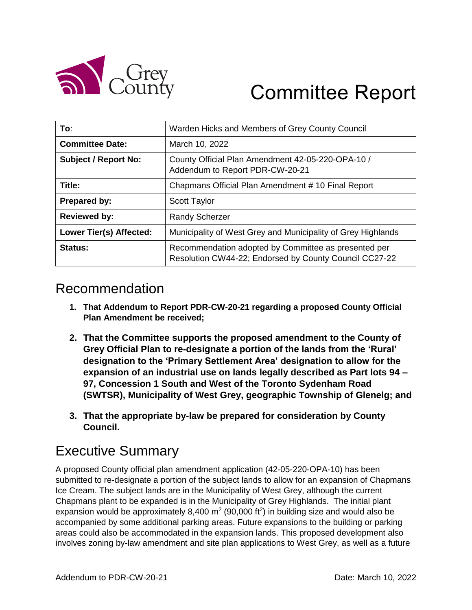

# Committee Report

| To:                            | Warden Hicks and Members of Grey County Council                                                                |
|--------------------------------|----------------------------------------------------------------------------------------------------------------|
| <b>Committee Date:</b>         | March 10, 2022                                                                                                 |
| <b>Subject / Report No:</b>    | County Official Plan Amendment 42-05-220-OPA-10 /<br>Addendum to Report PDR-CW-20-21                           |
| Title:                         | Chapmans Official Plan Amendment #10 Final Report                                                              |
| Prepared by:                   | <b>Scott Taylor</b>                                                                                            |
| <b>Reviewed by:</b>            | <b>Randy Scherzer</b>                                                                                          |
| <b>Lower Tier(s) Affected:</b> | Municipality of West Grey and Municipality of Grey Highlands                                                   |
| Status:                        | Recommendation adopted by Committee as presented per<br>Resolution CW44-22; Endorsed by County Council CC27-22 |

### Recommendation

- **1. That Addendum to Report PDR-CW-20-21 regarding a proposed County Official Plan Amendment be received;**
- **2. That the Committee supports the proposed amendment to the County of Grey Official Plan to re-designate a portion of the lands from the 'Rural' designation to the 'Primary Settlement Area' designation to allow for the expansion of an industrial use on lands legally described as Part lots 94 – 97, Concession 1 South and West of the Toronto Sydenham Road (SWTSR), Municipality of West Grey, geographic Township of Glenelg; and**
- **3. That the appropriate by-law be prepared for consideration by County Council.**

# Executive Summary

A proposed County official plan amendment application (42-05-220-OPA-10) has been submitted to re-designate a portion of the subject lands to allow for an expansion of Chapmans Ice Cream. The subject lands are in the Municipality of West Grey, although the current Chapmans plant to be expanded is in the Municipality of Grey Highlands. The initial plant expansion would be approximately 8,400  $m^2$  (90,000 ft<sup>2</sup>) in building size and would also be accompanied by some additional parking areas. Future expansions to the building or parking areas could also be accommodated in the expansion lands. This proposed development also involves zoning by-law amendment and site plan applications to West Grey, as well as a future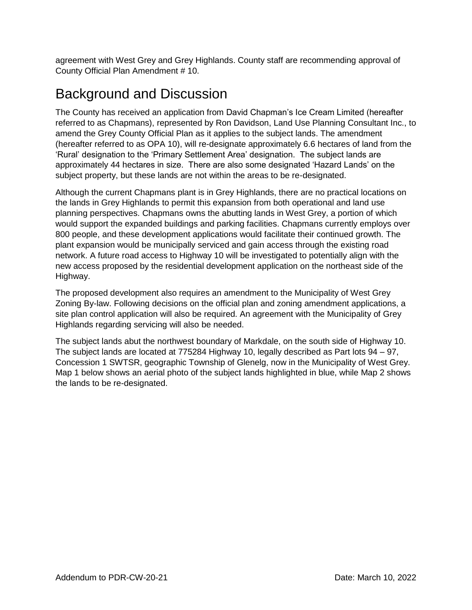agreement with West Grey and Grey Highlands. County staff are recommending approval of County Official Plan Amendment # 10.

# Background and Discussion

The County has received an application from David Chapman's Ice Cream Limited (hereafter referred to as Chapmans), represented by Ron Davidson, Land Use Planning Consultant Inc., to amend the Grey County Official Plan as it applies to the subject lands. The amendment (hereafter referred to as OPA 10), will re-designate approximately 6.6 hectares of land from the 'Rural' designation to the 'Primary Settlement Area' designation. The subject lands are approximately 44 hectares in size. There are also some designated 'Hazard Lands' on the subject property, but these lands are not within the areas to be re-designated.

Although the current Chapmans plant is in Grey Highlands, there are no practical locations on the lands in Grey Highlands to permit this expansion from both operational and land use planning perspectives. Chapmans owns the abutting lands in West Grey, a portion of which would support the expanded buildings and parking facilities. Chapmans currently employs over 800 people, and these development applications would facilitate their continued growth. The plant expansion would be municipally serviced and gain access through the existing road network. A future road access to Highway 10 will be investigated to potentially align with the new access proposed by the residential development application on the northeast side of the Highway.

The proposed development also requires an amendment to the Municipality of West Grey Zoning By-law. Following decisions on the official plan and zoning amendment applications, a site plan control application will also be required. An agreement with the Municipality of Grey Highlands regarding servicing will also be needed.

The subject lands abut the northwest boundary of Markdale, on the south side of Highway 10. The subject lands are located at 775284 Highway 10, legally described as Part lots 94 – 97, Concession 1 SWTSR, geographic Township of Glenelg, now in the Municipality of West Grey. Map 1 below shows an aerial photo of the subject lands highlighted in blue, while Map 2 shows the lands to be re-designated.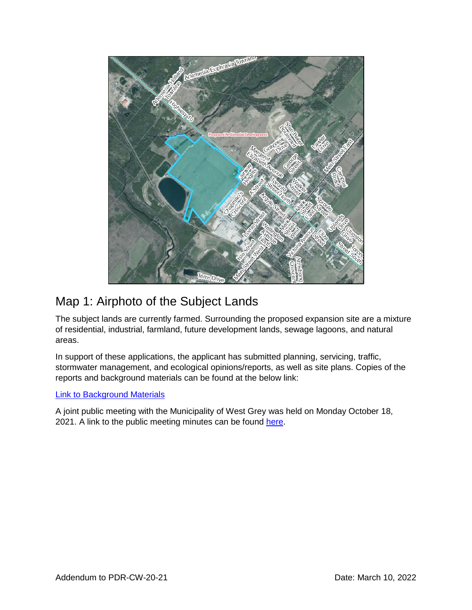

### Map 1: Airphoto of the Subject Lands

The subject lands are currently farmed. Surrounding the proposed expansion site are a mixture of residential, industrial, farmland, future development lands, sewage lagoons, and natural areas.

In support of these applications, the applicant has submitted planning, servicing, traffic, stormwater management, and ecological opinions/reports, as well as site plans. Copies of the reports and background materials can be found at the below link:

#### [Link to Background Materials](https://www.grey.ca/planning-development/planning-applications)

A joint public meeting with the Municipality of West Grey was held on Monday October 18, 2021. A link to the public meeting minutes can be found [here.](https://docs.grey.ca/share/public?nodeRef=workspace://SpacesStore/fa4cad5d-f886-4e2a-bb34-5c7c10e858ae)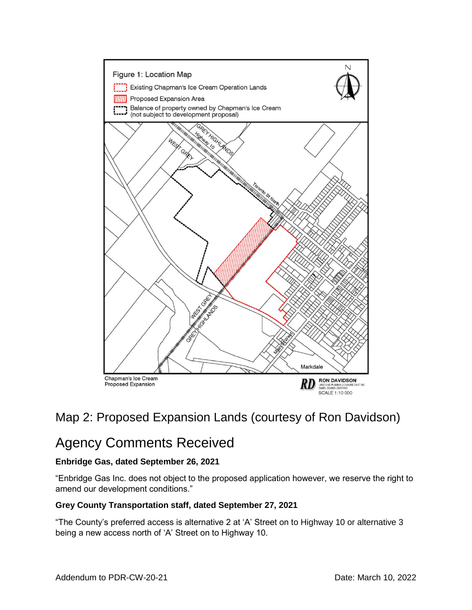

### Map 2: Proposed Expansion Lands (courtesy of Ron Davidson)

# Agency Comments Received

### **Enbridge Gas, dated September 26, 2021**

"Enbridge Gas Inc. does not object to the proposed application however, we reserve the right to amend our development conditions."

#### **Grey County Transportation staff, dated September 27, 2021**

"The County's preferred access is alternative 2 at 'A' Street on to Highway 10 or alternative 3 being a new access north of 'A' Street on to Highway 10.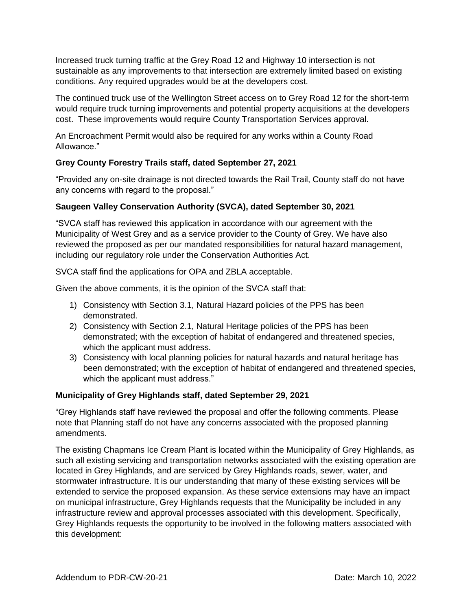Increased truck turning traffic at the Grey Road 12 and Highway 10 intersection is not sustainable as any improvements to that intersection are extremely limited based on existing conditions. Any required upgrades would be at the developers cost.

The continued truck use of the Wellington Street access on to Grey Road 12 for the short-term would require truck turning improvements and potential property acquisitions at the developers cost. These improvements would require County Transportation Services approval.

An Encroachment Permit would also be required for any works within a County Road Allowance."

#### **Grey County Forestry Trails staff, dated September 27, 2021**

"Provided any on-site drainage is not directed towards the Rail Trail, County staff do not have any concerns with regard to the proposal."

### **Saugeen Valley Conservation Authority (SVCA), dated September 30, 2021**

"SVCA staff has reviewed this application in accordance with our agreement with the Municipality of West Grey and as a service provider to the County of Grey. We have also reviewed the proposed as per our mandated responsibilities for natural hazard management, including our regulatory role under the Conservation Authorities Act.

SVCA staff find the applications for OPA and ZBLA acceptable.

Given the above comments, it is the opinion of the SVCA staff that:

- 1) Consistency with Section 3.1, Natural Hazard policies of the PPS has been demonstrated.
- 2) Consistency with Section 2.1, Natural Heritage policies of the PPS has been demonstrated; with the exception of habitat of endangered and threatened species, which the applicant must address.
- 3) Consistency with local planning policies for natural hazards and natural heritage has been demonstrated; with the exception of habitat of endangered and threatened species, which the applicant must address."

#### **Municipality of Grey Highlands staff, dated September 29, 2021**

"Grey Highlands staff have reviewed the proposal and offer the following comments. Please note that Planning staff do not have any concerns associated with the proposed planning amendments.

The existing Chapmans Ice Cream Plant is located within the Municipality of Grey Highlands, as such all existing servicing and transportation networks associated with the existing operation are located in Grey Highlands, and are serviced by Grey Highlands roads, sewer, water, and stormwater infrastructure. It is our understanding that many of these existing services will be extended to service the proposed expansion. As these service extensions may have an impact on municipal infrastructure, Grey Highlands requests that the Municipality be included in any infrastructure review and approval processes associated with this development. Specifically, Grey Highlands requests the opportunity to be involved in the following matters associated with this development: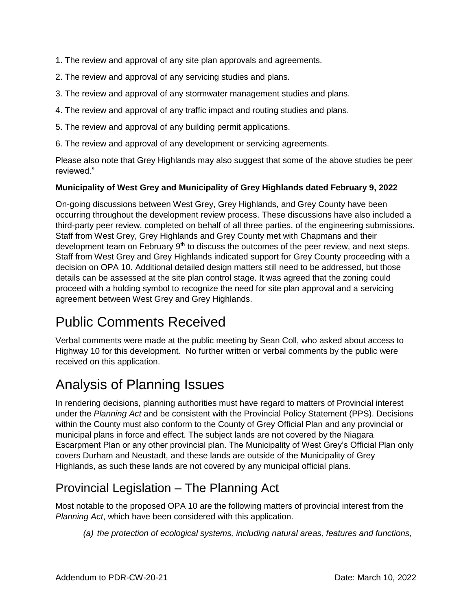- 1. The review and approval of any site plan approvals and agreements.
- 2. The review and approval of any servicing studies and plans.
- 3. The review and approval of any stormwater management studies and plans.
- 4. The review and approval of any traffic impact and routing studies and plans.
- 5. The review and approval of any building permit applications.
- 6. The review and approval of any development or servicing agreements.

Please also note that Grey Highlands may also suggest that some of the above studies be peer reviewed."

### **Municipality of West Grey and Municipality of Grey Highlands dated February 9, 2022**

On-going discussions between West Grey, Grey Highlands, and Grey County have been occurring throughout the development review process. These discussions have also included a third-party peer review, completed on behalf of all three parties, of the engineering submissions. Staff from West Grey, Grey Highlands and Grey County met with Chapmans and their development team on February  $9<sup>th</sup>$  to discuss the outcomes of the peer review, and next steps. Staff from West Grey and Grey Highlands indicated support for Grey County proceeding with a decision on OPA 10. Additional detailed design matters still need to be addressed, but those details can be assessed at the site plan control stage. It was agreed that the zoning could proceed with a holding symbol to recognize the need for site plan approval and a servicing agreement between West Grey and Grey Highlands.

# Public Comments Received

Verbal comments were made at the public meeting by Sean Coll, who asked about access to Highway 10 for this development. No further written or verbal comments by the public were received on this application.

# Analysis of Planning Issues

In rendering decisions, planning authorities must have regard to matters of Provincial interest under the *Planning Act* and be consistent with the Provincial Policy Statement (PPS). Decisions within the County must also conform to the County of Grey Official Plan and any provincial or municipal plans in force and effect. The subject lands are not covered by the Niagara Escarpment Plan or any other provincial plan. The Municipality of West Grey's Official Plan only covers Durham and Neustadt, and these lands are outside of the Municipality of Grey Highlands, as such these lands are not covered by any municipal official plans.

### Provincial Legislation – The Planning Act

Most notable to the proposed OPA 10 are the following matters of provincial interest from the *Planning Act*, which have been considered with this application.

*(a) the protection of ecological systems, including natural areas, features and functions,*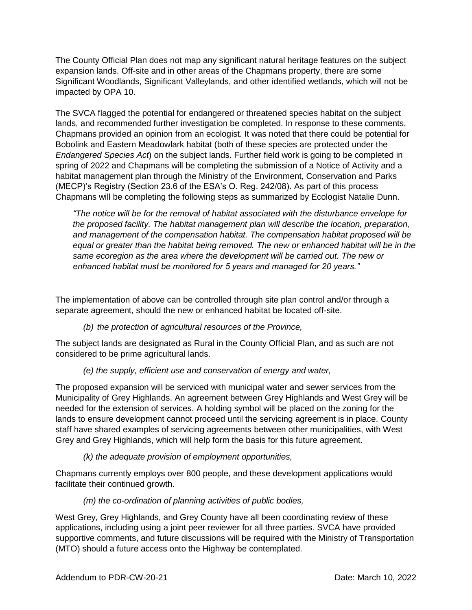The County Official Plan does not map any significant natural heritage features on the subject expansion lands. Off-site and in other areas of the Chapmans property, there are some Significant Woodlands, Significant Valleylands, and other identified wetlands, which will not be impacted by OPA 10.

The SVCA flagged the potential for endangered or threatened species habitat on the subject lands, and recommended further investigation be completed. In response to these comments, Chapmans provided an opinion from an ecologist. It was noted that there could be potential for Bobolink and Eastern Meadowlark habitat (both of these species are protected under the *Endangered Species Act*) on the subject lands. Further field work is going to be completed in spring of 2022 and Chapmans will be completing the submission of a Notice of Activity and a habitat management plan through the Ministry of the Environment, Conservation and Parks (MECP)'s Registry (Section 23.6 of the ESA's O. Reg. 242/08). As part of this process Chapmans will be completing the following steps as summarized by Ecologist Natalie Dunn.

*"The notice will be for the removal of habitat associated with the disturbance envelope for the proposed facility. The habitat management plan will describe the location, preparation, and management of the compensation habitat. The compensation habitat proposed will be equal or greater than the habitat being removed. The new or enhanced habitat will be in the same ecoregion as the area where the development will be carried out. The new or enhanced habitat must be monitored for 5 years and managed for 20 years."*

The implementation of above can be controlled through site plan control and/or through a separate agreement, should the new or enhanced habitat be located off-site.

*(b) the protection of agricultural resources of the Province,*

The subject lands are designated as Rural in the County Official Plan, and as such are not considered to be prime agricultural lands.

### *(e) the supply, efficient use and conservation of energy and water,*

The proposed expansion will be serviced with municipal water and sewer services from the Municipality of Grey Highlands. An agreement between Grey Highlands and West Grey will be needed for the extension of services. A holding symbol will be placed on the zoning for the lands to ensure development cannot proceed until the servicing agreement is in place. County staff have shared examples of servicing agreements between other municipalities, with West Grey and Grey Highlands, which will help form the basis for this future agreement.

*(k) the adequate provision of employment opportunities,*

Chapmans currently employs over 800 people, and these development applications would facilitate their continued growth.

### *(m) the co-ordination of planning activities of public bodies,*

West Grey, Grey Highlands, and Grey County have all been coordinating review of these applications, including using a joint peer reviewer for all three parties. SVCA have provided supportive comments, and future discussions will be required with the Ministry of Transportation (MTO) should a future access onto the Highway be contemplated.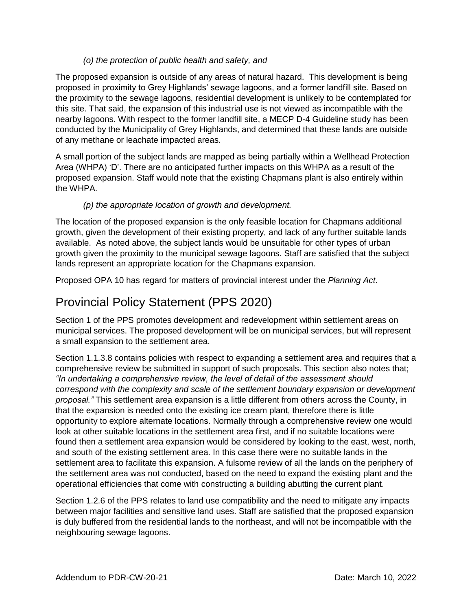### *(o) the protection of public health and safety, and*

The proposed expansion is outside of any areas of natural hazard. This development is being proposed in proximity to Grey Highlands' sewage lagoons, and a former landfill site. Based on the proximity to the sewage lagoons, residential development is unlikely to be contemplated for this site. That said, the expansion of this industrial use is not viewed as incompatible with the nearby lagoons. With respect to the former landfill site, a MECP D-4 Guideline study has been conducted by the Municipality of Grey Highlands, and determined that these lands are outside of any methane or leachate impacted areas.

A small portion of the subject lands are mapped as being partially within a Wellhead Protection Area (WHPA) 'D'. There are no anticipated further impacts on this WHPA as a result of the proposed expansion. Staff would note that the existing Chapmans plant is also entirely within the WHPA.

### *(p) the appropriate location of growth and development.*

The location of the proposed expansion is the only feasible location for Chapmans additional growth, given the development of their existing property, and lack of any further suitable lands available. As noted above, the subject lands would be unsuitable for other types of urban growth given the proximity to the municipal sewage lagoons. Staff are satisfied that the subject lands represent an appropriate location for the Chapmans expansion.

Proposed OPA 10 has regard for matters of provincial interest under the *Planning Act.*

### Provincial Policy Statement (PPS 2020)

Section 1 of the PPS promotes development and redevelopment within settlement areas on municipal services. The proposed development will be on municipal services, but will represent a small expansion to the settlement area.

Section 1.1.3.8 contains policies with respect to expanding a settlement area and requires that a comprehensive review be submitted in support of such proposals. This section also notes that; *"In undertaking a comprehensive review, the level of detail of the assessment should correspond with the complexity and scale of the settlement boundary expansion or development proposal."* This settlement area expansion is a little different from others across the County, in that the expansion is needed onto the existing ice cream plant, therefore there is little opportunity to explore alternate locations. Normally through a comprehensive review one would look at other suitable locations in the settlement area first, and if no suitable locations were found then a settlement area expansion would be considered by looking to the east, west, north, and south of the existing settlement area. In this case there were no suitable lands in the settlement area to facilitate this expansion. A fulsome review of all the lands on the periphery of the settlement area was not conducted, based on the need to expand the existing plant and the operational efficiencies that come with constructing a building abutting the current plant.

Section 1.2.6 of the PPS relates to land use compatibility and the need to mitigate any impacts between major facilities and sensitive land uses. Staff are satisfied that the proposed expansion is duly buffered from the residential lands to the northeast, and will not be incompatible with the neighbouring sewage lagoons.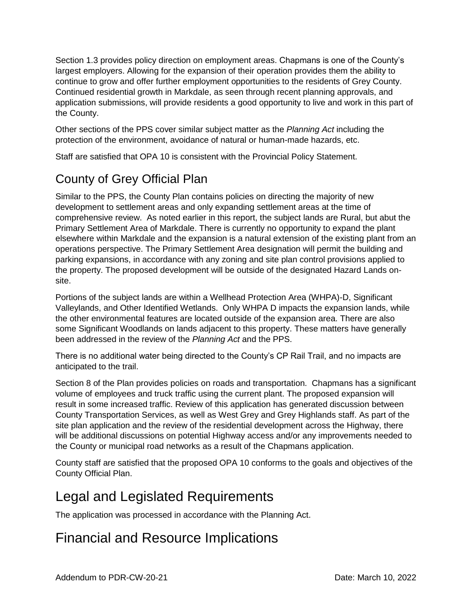Section 1.3 provides policy direction on employment areas. Chapmans is one of the County's largest employers. Allowing for the expansion of their operation provides them the ability to continue to grow and offer further employment opportunities to the residents of Grey County. Continued residential growth in Markdale, as seen through recent planning approvals, and application submissions, will provide residents a good opportunity to live and work in this part of the County.

Other sections of the PPS cover similar subject matter as the *Planning Act* including the protection of the environment, avoidance of natural or human-made hazards, etc.

Staff are satisfied that OPA 10 is consistent with the Provincial Policy Statement.

# County of Grey Official Plan

Similar to the PPS, the County Plan contains policies on directing the majority of new development to settlement areas and only expanding settlement areas at the time of comprehensive review. As noted earlier in this report, the subject lands are Rural, but abut the Primary Settlement Area of Markdale. There is currently no opportunity to expand the plant elsewhere within Markdale and the expansion is a natural extension of the existing plant from an operations perspective. The Primary Settlement Area designation will permit the building and parking expansions, in accordance with any zoning and site plan control provisions applied to the property. The proposed development will be outside of the designated Hazard Lands onsite.

Portions of the subject lands are within a Wellhead Protection Area (WHPA)-D, Significant Valleylands, and Other Identified Wetlands. Only WHPA D impacts the expansion lands, while the other environmental features are located outside of the expansion area. There are also some Significant Woodlands on lands adjacent to this property. These matters have generally been addressed in the review of the *Planning Act* and the PPS.

There is no additional water being directed to the County's CP Rail Trail, and no impacts are anticipated to the trail.

Section 8 of the Plan provides policies on roads and transportation. Chapmans has a significant volume of employees and truck traffic using the current plant. The proposed expansion will result in some increased traffic. Review of this application has generated discussion between County Transportation Services, as well as West Grey and Grey Highlands staff. As part of the site plan application and the review of the residential development across the Highway, there will be additional discussions on potential Highway access and/or any improvements needed to the County or municipal road networks as a result of the Chapmans application.

County staff are satisfied that the proposed OPA 10 conforms to the goals and objectives of the County Official Plan.

# Legal and Legislated Requirements

The application was processed in accordance with the Planning Act.

# Financial and Resource Implications